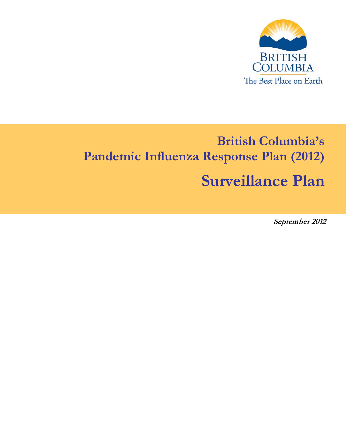

# **British Columbia's Pandemic Influenza Response Plan (2012)**

# **Surveillance Plan**

September 2012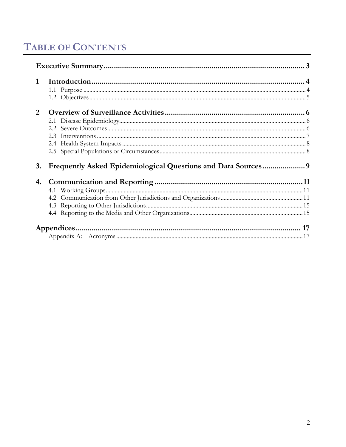# **TABLE OF CONTENTS**

| 1                     |  |
|-----------------------|--|
| $\mathcal{D}_{\cdot}$ |  |
| 3.                    |  |
| 4.                    |  |
|                       |  |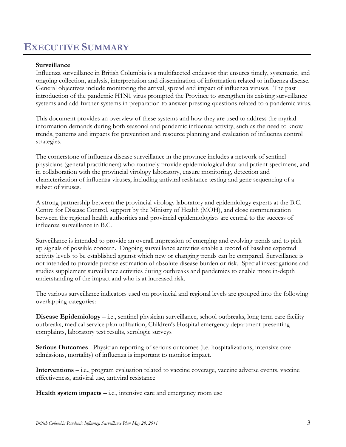# <span id="page-2-0"></span>**EXECUTIVE SUMMARY**

#### **Surveillance**

Influenza surveillance in British Columbia is a multifaceted endeavor that ensures timely, systematic, and ongoing collection, analysis, interpretation and dissemination of information related to influenza disease. General objectives include monitoring the arrival, spread and impact of influenza viruses. The past introduction of the pandemic H1N1 virus prompted the Province to strengthen its existing surveillance systems and add further systems in preparation to answer pressing questions related to a pandemic virus.

This document provides an overview of these systems and how they are used to address the myriad information demands during both seasonal and pandemic influenza activity, such as the need to know trends, patterns and impacts for prevention and resource planning and evaluation of influenza control strategies.

The cornerstone of influenza disease surveillance in the province includes a network of sentinel physicians (general practitioners) who routinely provide epidemiological data and patient specimens, and in collaboration with the provincial virology laboratory, ensure monitoring, detection and characterization of influenza viruses, including antiviral resistance testing and gene sequencing of a subset of viruses.

A strong partnership between the provincial virology laboratory and epidemiology experts at the B.C. Centre for Disease Control, support by the Ministry of Health (MOH), and close communication between the regional health authorities and provincial epidemiologists are central to the success of influenza surveillance in B.C.

Surveillance is intended to provide an overall impression of emerging and evolving trends and to pick up signals of possible concern. Ongoing surveillance activities enable a record of baseline expected activity levels to be established against which new or changing trends can be compared. Surveillance is not intended to provide precise estimation of absolute disease burden or risk. Special investigations and studies supplement surveillance activities during outbreaks and pandemics to enable more in-depth understanding of the impact and who is at increased risk.

The various surveillance indicators used on provincial and regional levels are grouped into the following overlapping categories:

**Disease Epidemiology** – i.e., sentinel physician surveillance, school outbreaks, long term care facility outbreaks, medical service plan utilization, Children's Hospital emergency department presenting complaints, laboratory test results, serologic surveys

**Serious Outcomes** –Physician reporting of serious outcomes (i.e. hospitalizations, intensive care admissions, mortality) of influenza is important to monitor impact.

**Interventions** – i.e., program evaluation related to vaccine coverage, vaccine adverse events, vaccine effectiveness, antiviral use, antiviral resistance

**Health system impacts** – i.e., intensive care and emergency room use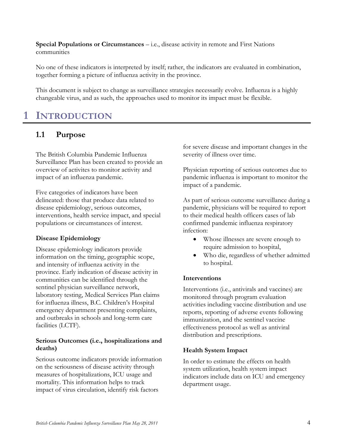**Special Populations or Circumstances** – i.e., disease activity in remote and First Nations communities

No one of these indicators is interpreted by itself; rather, the indicators are evaluated in combination, together forming a picture of influenza activity in the province.

This document is subject to change as surveillance strategies necessarily evolve. Influenza is a highly changeable virus, and as such, the approaches used to monitor its impact must be flexible.

# <span id="page-3-0"></span>**1 INTRODUCTION**

### <span id="page-3-1"></span>**1.1 Purpose**

The British Columbia Pandemic Influenza Surveillance Plan has been created to provide an overview of activites to monitor activity and impact of an influenza pandemic.

Five categories of indicators have been delineated: those that produce data related to disease epidemiology, serious outcomes, interventions, health service impact, and special populations or circumstances of interest.

#### **Disease Epidemiology**

Disease epidemiology indicators provide information on the timing, geographic scope, and intensity of influenza activity in the province. Early indication of disease activity in communities can be identified through the sentinel physician surveillance network, laboratory testing, Medical Services Plan claims for influenza illness, B.C. Children's Hospital emergency department presenting complaints, and outbreaks in schools and long-term care facilities (LCTF).

#### **Serious Outcomes (i.e., hospitalizations and deaths)**

Serious outcome indicators provide information on the seriousness of disease activity through measures of hospitalizations, ICU usage and mortality. This information helps to track impact of virus circulation, identify risk factors

for severe disease and important changes in the severity of illness over time.

Physician reporting of serious outcomes due to pandemic influenza is important to monitor the impact of a pandemic.

As part of serious outcome surveillance during a pandemic, physicians will be required to report to their medical health officers cases of lab confirmed pandemic influenza respiratory infection:

- Whose illnesses are severe enough to require admission to hospital,
- Who die, regardless of whether admitted to hospital.

#### **Interventions**

Interventions (i.e., antivirals and vaccines) are monitored through program evaluation activities including vaccine distribution and use reports, reporting of adverse events following immunization, and the sentinel vaccine effectiveness protocol as well as antiviral distribution and prescriptions.

#### **Health System Impact**

In order to estimate the effects on health system utilization, health system impact indicators include data on ICU and emergency department usage.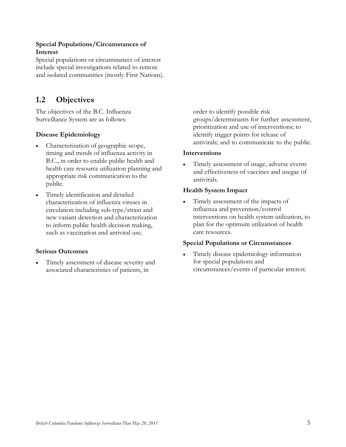#### **Special Populations/Circumstances of Interest**

Special populations or circumstances of interest include special investigations related to remote and isolated communities (mostly First Nations).

## <span id="page-4-0"></span>**1.2 Objectives**

The objectives of the B.C. Influenza Surveillance System are as follows:

#### **Disease Epidemiology**

- Characterization of geographic scope, timing and trends of influenza activity in B.C., in order to enable public health and health care resource utilization planning and appropriate risk communication to the public.
- Timely identification and detailed characterization of influenza viruses in circulation including sub-type/strain and new variant detection and characterization to inform public health decision making, such as vaccination and antiviral use.

#### **Serious Outcomes**

• Timely assessment of disease severity and associated characteristics of patients, in

order to identify possible risk groups/determinants for further assessment, prioritization and use of interventions; to identify trigger points for release of antivirals; and to communicate to the public.

#### **Interventions**

• Timely assessment of usage, adverse events and effectiveness of vaccines and usegae of antivirals.

#### **Health System Impact**

• Timely assessment of the impacts of influenza and prevention/control interventions on health system utilization, to plan for the optimum utilization of health care resources.

#### **Special Populations or Circumstances**

• Timely disease epidemiology information for special populations and circumstances/events of particular interest.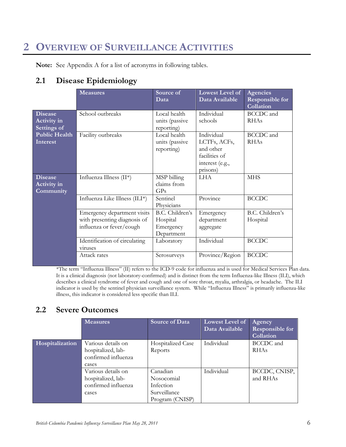# <span id="page-5-0"></span>**2 OVERVIEW OF SURVEILLANCE ACTIVITIES**

**Note:** See Appendix A for a list of acronyms in following tables.

### <span id="page-5-1"></span>**2.1 Disease Epidemiology**

|                                                     | <b>Measures</b>                                                                         | Source of<br>Data                                      | <b>Lowest Level of</b><br>Data Available                                                | Agencies<br><b>Responsible for</b><br>Collation |
|-----------------------------------------------------|-----------------------------------------------------------------------------------------|--------------------------------------------------------|-----------------------------------------------------------------------------------------|-------------------------------------------------|
| <b>Disease</b><br><b>Activity in</b><br>Settings of | School outbreaks                                                                        | Local health<br>units (passive<br>reporting)           | Individual<br>schools                                                                   | BCCDC and<br><b>RHAs</b>                        |
| <b>Public Health</b><br>Interest                    | Facility outbreaks                                                                      | Local health<br>units (passive<br>reporting)           | Individual<br>LCTFs, ACFs,<br>and other<br>facilities of<br>interest (e.g.,<br>prisons) | <b>BCCDC</b> and<br><b>RHAs</b>                 |
| <b>Disease</b><br><b>Activity in</b><br>Community   | Influenza Illness (II*)                                                                 | MSP billing<br>claims from<br>GP <sub>S</sub>          | <b>LHA</b>                                                                              | <b>MHS</b>                                      |
|                                                     | Influenza Like Illness (ILI*)                                                           | Sentinel<br>Physicians                                 | Province                                                                                | <b>BCCDC</b>                                    |
|                                                     | Emergency department visits<br>with presenting diagnosis of<br>influenza or fever/cough | B.C. Children's<br>Hospital<br>Emergency<br>Department | Emergency<br>department<br>aggregate                                                    | B.C. Children's<br>Hospital                     |
|                                                     | Identification of circulating<br>viruses                                                | Laboratory                                             | Individual                                                                              | <b>BCCDC</b>                                    |
|                                                     | Attack rates                                                                            | Serosurveys                                            | Province/Region                                                                         | <b>BCCDC</b>                                    |

\*The term "Influenza Illness" (II) refers to the ICD-9 code for influenza and is used for Medical Services Plan data. It is a clinical diagnosis (not laboratory-confirmed) and is distinct from the term Influenza-like Illness (ILI), which describes a clinical syndrome of fever and cough and one of sore throat, myalia, arthralgia, or headache. The ILI indicator is used by the sentinel physician surveillance system. While "Influenza Illness" is primarily influenza-like illness, this indicator is considered less specific than ILI.

## <span id="page-5-2"></span>**2.2 Severe Outcomes**

|                 | <b>Measures</b>                                                          | <b>Source of Data</b>                                                  | <b>Lowest Level of</b><br>Data Available | Agency<br><b>Responsible for</b><br>Collation |
|-----------------|--------------------------------------------------------------------------|------------------------------------------------------------------------|------------------------------------------|-----------------------------------------------|
| Hospitalization | Various details on<br>hospitalized, lab-<br>confirmed influenza<br>cases | Hospitalized Case<br>Reports                                           | Individual                               | BCCDC and<br><b>RHAs</b>                      |
|                 | Various details on<br>hospitalized, lab-<br>confirmed influenza<br>cases | Canadian<br>Nosocomial<br>Infection<br>Surveillance<br>Program (CNISP) | Individual                               | BCCDC, CNISP,<br>and RHAs                     |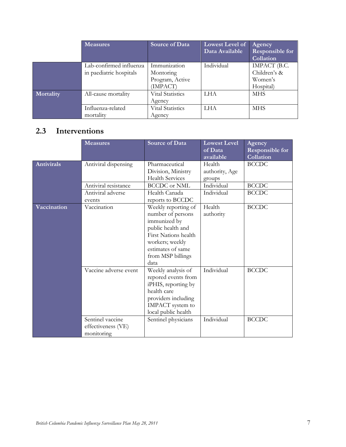|           | <b>Measures</b>                                       | Source of Data                                                         | Lowest Level of<br>Data Available | Agency<br><b>Responsible for</b><br>Collation        |
|-----------|-------------------------------------------------------|------------------------------------------------------------------------|-----------------------------------|------------------------------------------------------|
|           | Lab-confirmed influenza<br>in paediatric hospitals    | Immunization<br>Montoring<br>Program, Active<br>(IMPACT)               | Individual                        | IMPACT (B.C.<br>Children's &<br>Women's<br>Hospital) |
| Mortality | All-cause mortality<br>Influenza-related<br>mortality | <b>Vital Statistics</b><br>Agency<br><b>Vital Statistics</b><br>Agency | <b>LHA</b><br><b>LHA</b>          | <b>MHS</b><br><b>MHS</b>                             |

# <span id="page-6-0"></span>**2.3 Interventions**

|                   | <b>Measures</b>                                      | <b>Source of Data</b>                                                                                                                                                      | <b>Lowest Level</b><br>of Data<br>available | Agency<br><b>Responsible for</b><br>Collation |
|-------------------|------------------------------------------------------|----------------------------------------------------------------------------------------------------------------------------------------------------------------------------|---------------------------------------------|-----------------------------------------------|
| <b>Antivirals</b> | Antiviral dispensing                                 | Pharmaceutical<br>Division, Ministry<br><b>Health Services</b>                                                                                                             | Health<br>authority, Age<br>groups          | <b>BCCDC</b>                                  |
|                   | Antiviral resistance                                 | <b>BCCDC</b> or NML                                                                                                                                                        | Individual                                  | <b>BCCDC</b>                                  |
|                   | Antiviral adverse<br>events                          | Health Canada<br>reports to BCCDC                                                                                                                                          | Individual                                  | <b>BCCDC</b>                                  |
| Vaccination       | Vaccination                                          | Weekly reporting of<br>number of persons<br>immunized by<br>public health and<br>First Nations health<br>workers; weekly<br>estimates of same<br>from MSP billings<br>data | Health<br>authority                         | <b>BCCDC</b>                                  |
|                   | Vaccine adverse event                                | Weekly analysis of<br>repored events from<br>iPHIS, reporting by<br>health care<br>providers including<br>IMPACT system to<br>local public health                          | Individual                                  | <b>BCCDC</b>                                  |
|                   | Sentinel vaccine<br>effectiveness (VE)<br>monitoring | Sentinel physicians                                                                                                                                                        | Individual                                  | <b>BCCDC</b>                                  |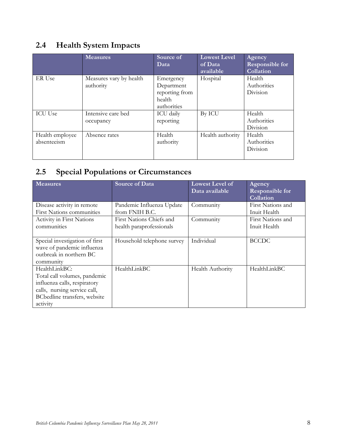# <span id="page-7-0"></span>**2.4 Health System Impacts**

|                                | <b>Measures</b>                      | Source of<br>Data                                                  | <b>Lowest Level</b><br>of Data<br>available | Agency<br><b>Responsible for</b><br>Collation |
|--------------------------------|--------------------------------------|--------------------------------------------------------------------|---------------------------------------------|-----------------------------------------------|
| ER Use                         | Measures vary by health<br>authority | Emergency<br>Department<br>reporting from<br>health<br>authorities | Hospital                                    | Health<br>Authorities<br><b>Division</b>      |
| <b>ICU Use</b>                 | Intensive care bed<br>occupancy      | <b>ICU</b> daily<br>reporting                                      | By ICU                                      | Health<br>Authorities<br>Division             |
| Health employee<br>absenteeism | Absence rates                        | Health<br>authority                                                | Health authority                            | Health<br>Authorities<br>Division             |

# <span id="page-7-1"></span>**2.5 Special Populations or Circumstances**

| <b>Measures</b>                                                                                                                                           | <b>Source of Data</b>                                                   | <b>Lowest Level of</b><br>Data available | Agency<br><b>Responsible for</b><br>Collation          |
|-----------------------------------------------------------------------------------------------------------------------------------------------------------|-------------------------------------------------------------------------|------------------------------------------|--------------------------------------------------------|
| Disease activity in remote<br><b>First Nations communities</b><br>Activity in First Nations                                                               | Pandemic Influenza Update<br>from FNIH B.C.<br>First Nations Chiefs and | Community<br>Community                   | First Nations and<br>Inuit Health<br>First Nations and |
| communities                                                                                                                                               | health paraprofessionals                                                |                                          | Inuit Health                                           |
| Special investigation of first<br>wave of pandemic influenza<br>outbreak in northern BC<br>community                                                      | Household telephone survey                                              | Individual                               | <b>BCCDC</b>                                           |
| HealthLinkBC:<br>Total call volumes, pandemic<br>influenza calls, respiratory<br>calls, nursing service call,<br>BCbedline transfers, website<br>activity | HealthLinkBC                                                            | Health Authority                         | HealthLinkBC                                           |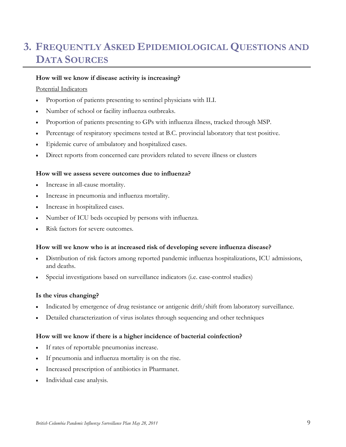# <span id="page-8-0"></span>**3. FREQUENTLY ASKED EPIDEMIOLOGICAL QUESTIONS AND DATA SOURCES**

#### **How will we know if disease activity is increasing?**

#### Potential Indicators

- Proportion of patients presenting to sentinel physicians with ILI.
- Number of school or facility influenza outbreaks.
- Proportion of patients presenting to GPs with influenza illness, tracked through MSP.
- Percentage of respiratory specimens tested at B.C. provincial laboratory that test positive.
- Epidemic curve of ambulatory and hospitalized cases.
- Direct reports from concerned care providers related to severe illness or clusters

#### **How will we assess severe outcomes due to influenza?**

- Increase in all-cause mortality.
- Increase in pneumonia and influenza mortality.
- Increase in hospitalized cases.
- Number of ICU beds occupied by persons with influenza.
- Risk factors for severe outcomes.

#### **How will we know who is at increased risk of developing severe influenza disease?**

- Distribution of risk factors among reported pandemic influenza hospitalizations, ICU admissions, and deaths.
- Special investigations based on surveillance indicators (i.e. case-control studies)

#### **Is the virus changing?**

- Indicated by emergence of drug resistance or antigenic drift/shift from laboratory surveillance.
- Detailed characterization of virus isolates through sequencing and other techniques

#### **How will we know if there is a higher incidence of bacterial coinfection?**

- If rates of reportable pneumonias increase.
- If pneumonia and influenza mortality is on the rise.
- Increased prescription of antibiotics in Pharmanet.
- Individual case analysis.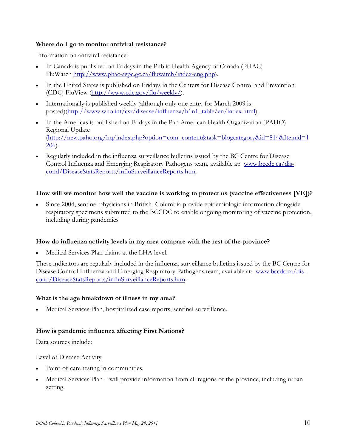#### **Where do I go to monitor antiviral resistance?**

Information on antiviral resistance:

- In Canada is published on Fridays in the Public Health Agency of Canada (PHAC) FluWatch [http://www.phac-aspc.gc.ca/fluwatch/index-eng.php\)](http://www.phac-aspc.gc.ca/fluwatch/index-eng.php).
- In the United States is published on Fridays in the Centers for Disease Control and Prevention (CDC) FluView [\(http://www.cdc.gov/flu/weekly/\)](http://www.cdc.gov/flu/weekly/).
- Internationally is published weekly (although only one entry for March 2009 is posted)[\(http://www.who.int/csr/disease/influenza/h1n1\\_table/en/index.html\)](http://www.who.int/csr/disease/influenza/h1n1_table/en/index.html).
- In the Americas is published on Fridays in the Pan American Health Organization (PAHO) Regional Update [\(http://new.paho.org/hq/index.php?option=com\\_content&task=blogcategory&id=814&Itemid=1](http://new.paho.org/hq/index.php?option=com_content&task=blogcategory&id=814&Itemid=1206) [206\)](http://new.paho.org/hq/index.php?option=com_content&task=blogcategory&id=814&Itemid=1206).
- Regularly included in the influenza surveillance bulletins issued by the BC Centre for Disease Control Influenza and Emerging Respiratory Pathogens team, available at: [www.bccdc.ca/dis](blocked::http://www.bccdc.ca/dis-cond/DiseaseStatsReports/influSurveillanceReports.htm)[cond/DiseaseStatsReports/influSurveillanceReports.htm.](blocked::http://www.bccdc.ca/dis-cond/DiseaseStatsReports/influSurveillanceReports.htm)

#### **How will we monitor how well the vaccine is working to protect us (vaccine effectiveness [VE])?**

• Since 2004, sentinel physicians in British Columbia provide epidemiologic information alongside respiratory specimens submitted to the BCCDC to enable ongoing monitoring of vaccine protection, including during pandemics

#### **How do influenza activity levels in my area compare with the rest of the province?**

Medical Services Plan claims at the LHA level.

These indicators are regularly included in the influenza surveillance bulletins issued by the BC Centre for Disease Control Influenza and Emerging Respiratory Pathogens team, available at: [www.bccdc.ca/dis](blocked::http://www.bccdc.ca/dis-cond/DiseaseStatsReports/influSurveillanceReports.htm)[cond/DiseaseStatsReports/influSurveillanceReports.htm](blocked::http://www.bccdc.ca/dis-cond/DiseaseStatsReports/influSurveillanceReports.htm).

#### **What is the age breakdown of illness in my area?**

• Medical Services Plan, hospitalized case reports, sentinel surveillance.

#### **How is pandemic influenza affecting First Nations?**

Data sources include:

#### Level of Disease Activity

- Point-of-care testing in communities.
- Medical Services Plan will provide information from all regions of the province, including urban setting.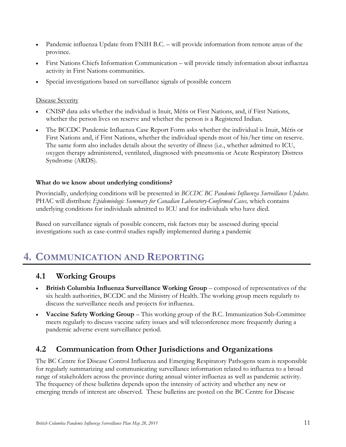- Pandemic influenza Update from FNIH B.C. will provide information from remote areas of the province.
- First Nations Chiefs Information Communication will provide timely information about influenza activity in First Nations communities.
- Special investigations based on surveillance signals of possible concern

#### Disease Severity

- CNISP data asks whether the individual is Inuit, Métis or First Nations, and, if First Nations, whether the person lives on reserve and whether the person is a Registered Indian.
- The BCCDC Pandemic Influenza Case Report Form asks whether the individual is Inuit, Métis or First Nations and, if First Nations, whether the individual spends most of his/her time on reserve. The same form also includes details about the severity of illness (i.e., whether admitted to ICU, oxygen therapy administered, ventilated, diagnosed with pneumonia or Acute Respiratory Distress Syndrome (ARDS).

#### **What do we know about underlying conditions?**

Provincially, underlying conditions will be presented in *BCCDC BC Pandemic Influenza Surveillance Updates*. PHAC will distribute *Epidemiologic Summary for Canadian Laboratory-Confirmed Cases,* which contains underlying conditions for individuals admitted to ICU and for individuals who have died.

Based on surveillance signals of possible concern, risk factors may be assessed during special investigations such as case-control studies rapidly implemented during a pandemic

# <span id="page-10-0"></span>**4. COMMUNICATION AND REPORTING**

#### <span id="page-10-1"></span>**4.1 Working Groups**

- **British Columbia Influenza Surveillance Working Group** composed of representatives of the six health authorities, BCCDC and the Ministry of Health. The working group meets regularly to discuss the surveillance needs and projects for influenza.
- **Vaccine Safety Working Group** This working group of the B.C. Immunization Sub-Committee meets regularly to discuss vaccine safety issues and will teleconference more frequently during a pandemic adverse event surveillance period.

### <span id="page-10-2"></span>**4.2 Communication from Other Jurisdictions and Organizations**

The BC Centre for Disease Control Influenza and Emerging Respiratory Pathogens team is responsible for regularly summarizing and communicating surveillance information related to influenza to a broad range of stakeholders across the province during annual winter influenza as well as pandemic activity. The frequency of these bulletins depends upon the intensity of activity and whether any new or emerging trends of interest are observed. These bulletins are posted on the BC Centre for Disease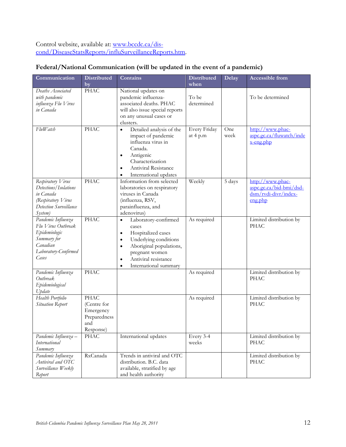Control website, available at: [www.bccdc.ca/dis](blocked::http://www.bccdc.ca/dis-cond/DiseaseStatsReports/influSurveillanceReports.htm)[cond/DiseaseStatsReports/influSurveillanceReports.htm.](blocked::http://www.bccdc.ca/dis-cond/DiseaseStatsReports/influSurveillanceReports.htm)

| Communication                                                                                                         | <b>Distributed</b><br>by                                                    | Contains                                                                                                                                                                                                                                                 | <b>Distributed</b><br>when | Delay       | Accessible from                                                                                                                           |
|-----------------------------------------------------------------------------------------------------------------------|-----------------------------------------------------------------------------|----------------------------------------------------------------------------------------------------------------------------------------------------------------------------------------------------------------------------------------------------------|----------------------------|-------------|-------------------------------------------------------------------------------------------------------------------------------------------|
| Deaths Associated<br>with pandemic<br>influenza Flu Virus<br>in Canada                                                | <b>PHAC</b>                                                                 | National updates on<br>pandemic influenza-<br>associated deaths. PHAC<br>will also issue special reports<br>on any unusual cases or<br>clusters.                                                                                                         | To be<br>determined        |             | To be determined                                                                                                                          |
| FluWatch                                                                                                              | <b>PHAC</b>                                                                 | Detailed analysis of the<br>$\bullet$<br>impact of pandemic<br>influenza virus in<br>Canada.<br>Antigenic<br>$\bullet$<br>Characterization<br><b>Antiviral Resistance</b><br>$\bullet$<br>International updates<br>$\bullet$                             | Every Friday<br>at 4 p.m   | One<br>week | http://www.phac-<br>aspc.gc.ca/fluwatch/inde<br>x-eng.php                                                                                 |
| Respiratory Virus<br>Detections/Isolations<br>in Canada<br>(Respiratory Virus<br>Detection Surveillance<br>System)    | <b>PHAC</b>                                                                 | Information from selected<br>laboratories on respiratory<br>viruses in Canada<br>(influenza, RSV,<br>parainfluenza, and<br>adenovirus)                                                                                                                   | Weekly                     | 5 days      | http://www.phac-<br>aspc.gc.ca/bid-bmi/dsd-<br>$\frac{d \sin(r \text{v} \cdot \text{div}(r))}{d \text{v} \cdot \text{div}(r)}$<br>eng.php |
| Pandemic Influenza<br>Flu Virus Outbreak<br>Epidemiologic<br>Summary for<br>Canadian<br>Laboratory-Confirmed<br>Cases | <b>PHAC</b>                                                                 | Laboratory-confirmed<br>$\bullet$<br>cases<br>Hospitalized cases<br>$\bullet$<br>Underlying conditions<br>$\bullet$<br>Aboriginal populations,<br>$\bullet$<br>pregnant women<br>Antiviral resistance<br>$\bullet$<br>International summary<br>$\bullet$ | As required                |             | Limited distribution by<br><b>PHAC</b>                                                                                                    |
| Pandemic Influenza<br>Outbreak<br>Epidemiological<br>Update                                                           | <b>PHAC</b>                                                                 |                                                                                                                                                                                                                                                          | As required                |             | Limited distribution by<br><b>PHAC</b>                                                                                                    |
| Health Portfolio<br>Situation Report                                                                                  | <b>PHAC</b><br>(Centre for<br>Emergency<br>Preparedness<br>and<br>Response) |                                                                                                                                                                                                                                                          | As required                |             | Limited distribution by<br><b>PHAC</b>                                                                                                    |
| Pandemic Influenza -<br><b>International</b><br>Summary                                                               | <b>PHAC</b>                                                                 | International updates                                                                                                                                                                                                                                    | Every 3-4<br>weeks         |             | Limited distribution by<br><b>PHAC</b>                                                                                                    |
| Pandemic Influenza<br>Antiviral and OTC<br>Surveillance Weekly<br>Report                                              | RxCanada                                                                    | Trends in antiviral and OTC<br>distribution. B.C. data<br>available, stratified by age<br>and health authority                                                                                                                                           |                            |             | Limited distribution by<br><b>PHAC</b>                                                                                                    |

#### **Federal/National Communication (will be updated in the event of a pandemic)**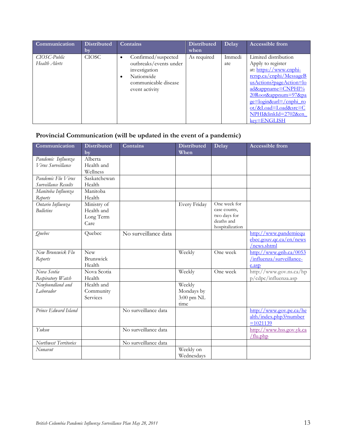| Communication                 | <b>Distributed</b><br>by | Contains                                                                                                                            | <b>Distributed</b><br>when | Delay         | <b>Accessible from</b>                                                                                                                                                                                                                                       |
|-------------------------------|--------------------------|-------------------------------------------------------------------------------------------------------------------------------------|----------------------------|---------------|--------------------------------------------------------------------------------------------------------------------------------------------------------------------------------------------------------------------------------------------------------------|
| CIOSC-Public<br>Health Alerts | <b>CIOSC</b>             | Confirmed/suspected<br>$\bullet$<br>outbreaks/events under<br>investigation<br>Nationwide<br>communicable disease<br>event activity | As required                | Immedi<br>ate | Limited distribution<br>Apply to register<br>at: https://www.cnphi-<br>rcrsp.ca/cnphi/MessageB<br>usActions?pageAction=lo<br>ad&appname=CNPHI%<br>20Root&appnum=97&pa<br>ge=login&url=/cnphi_ro<br>ot/&Load=Load&src=C<br>NPHI&linkId=2702&en<br>key=ENGLISH |

### **Provincial Communication (will be updated in the event of a pandemic)**

| Communication         | <b>Distributed</b> | <b>Contains</b>      | <b>Distributed</b> | Delay           | <b>Accessible from</b>                                  |
|-----------------------|--------------------|----------------------|--------------------|-----------------|---------------------------------------------------------|
|                       | by                 |                      | When               |                 |                                                         |
| Pandemic Influenza    | Alberta            |                      |                    |                 |                                                         |
| Virus Surveillance    | Health and         |                      |                    |                 |                                                         |
|                       | Wellness           |                      |                    |                 |                                                         |
| Pandemic Flu Virus    | Saskatchewan       |                      |                    |                 |                                                         |
| Surveillance Results  | Health             |                      |                    |                 |                                                         |
| Manitoba Influenza    | Manitoba           |                      |                    |                 |                                                         |
| Reports               | Health             |                      |                    |                 |                                                         |
| Ontario Influenza     | Ministry of        |                      | Every Friday       | One week for    |                                                         |
| <b>Bulletins</b>      | Health and         |                      |                    | case counts,    |                                                         |
|                       | Long Term          |                      |                    | two days for    |                                                         |
|                       | Care               |                      |                    | deaths and      |                                                         |
|                       |                    |                      |                    | hospitalization |                                                         |
| Quebec                | Quebec             | No surveillance data |                    |                 | http://www.pandemiequ                                   |
|                       |                    |                      |                    |                 | $e$ bec.gouv.gc.ca/en/news                              |
|                       |                    |                      |                    |                 | /news.shtml                                             |
| New Brunswick Flu     | <b>New</b>         |                      | Weekly             | One week        | $\frac{http://www.gnb.ca/0053}{http://www.gnb.ca/0053}$ |
| Reports               | <b>Brunswick</b>   |                      |                    |                 | /influenza/surveillance-                                |
|                       | Health             |                      |                    |                 | e.asp                                                   |
| Nova Scotia           | Nova Scotia        |                      | Weekly             | One week        | http://www.gov.ns.ca/hp                                 |
| Respiratory Watch     | Health             |                      |                    |                 | p/cdpc/influenza.asp                                    |
| Newfoundland and      | Health and         |                      | Weekly             |                 |                                                         |
| Laborador             | Community          |                      | Mondays by         |                 |                                                         |
|                       | Services           |                      | 3:00 pm NL         |                 |                                                         |
|                       |                    |                      | time               |                 |                                                         |
| Prince Edward Island  |                    | No surveillance data |                    |                 | http://www.gov.pe.ca/he                                 |
|                       |                    |                      |                    |                 | alth/index.php3?number                                  |
|                       |                    |                      |                    |                 | $=1021139$                                              |
| Yukon                 |                    | No surveillance data |                    |                 | http://www.hss.gov.yk.ca                                |
|                       |                    |                      |                    |                 | /flu.php                                                |
| Northwest Territories |                    | No surveillance data |                    |                 |                                                         |
| Nunavut               |                    |                      | Weekly on          |                 |                                                         |
|                       |                    |                      | Wednesdavs         |                 |                                                         |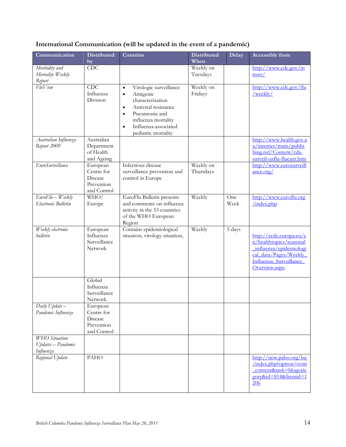### **International Communication (will be updated in the event of a pandemic)**

| Communication                                           | <b>Distributed</b><br>by                                       | Contains                                                                                                                                                                                                                                | <b>Distributed</b><br>When | Delay       | Accessible from                                                                                                                                  |
|---------------------------------------------------------|----------------------------------------------------------------|-----------------------------------------------------------------------------------------------------------------------------------------------------------------------------------------------------------------------------------------|----------------------------|-------------|--------------------------------------------------------------------------------------------------------------------------------------------------|
| Morbidity and<br>Mortality Weekly<br>Report             | <b>CDC</b>                                                     |                                                                                                                                                                                                                                         | Weekly on<br>Tuesdays      |             | http://www.cdc.gov/m<br>mwr/                                                                                                                     |
| FluView                                                 | CDC<br>Influenza<br>Division                                   | Virologic surveillance<br>$\bullet$<br>Antigenic<br>$\bullet$<br>characterization<br>Antiviral resistance<br>$\bullet$<br>Pneumonia and<br>$\bullet$<br>influenza mortality<br>Influenza-associated<br>$\bullet$<br>pediatric mortality | Weekly on<br>Fridays       |             | http://www.cdc.gov/flu<br>/weekly/                                                                                                               |
| Australian Influenza<br>Report 2009                     | Australian<br>Department<br>of Health<br>and Ageing            |                                                                                                                                                                                                                                         |                            |             | http://www.health.gov.a<br>u/internet/main/publis<br>hing.nsf/Content/cda-<br>surveil-ozflu-flucurr.htm                                          |
| EuroSurveillance                                        | European<br>Centre for<br>Disease<br>Prevention<br>and Control | Infectious disease<br>surveillance prevention and<br>control in Europe                                                                                                                                                                  | Weekly on<br>Thursdays     |             | http://www.eurosurveill<br>ance.org/                                                                                                             |
| $EuroFlu - Weekly$<br>Electronic Bulletin               | WHO/<br>Europe                                                 | EuroFlu Bulletin presents<br>and comments on influenza<br>activity in the 53 countries<br>of the WHO European<br>Region                                                                                                                 | Weekly                     | One<br>Week | http://www.euroflu.org<br>/index.php                                                                                                             |
| Weekly electronic<br>bulletin                           | European<br>Influenza<br>Surveillance<br>Network               | Contains epidemiological<br>situation, virology situation,                                                                                                                                                                              | Weekly                     | 5 days      | http://ecdc.europa.eu/e<br>n/healthtopics/seasonal<br>influenza/epidemiologi<br>cal data/Pages/Weekly<br>Influenza Surveillance<br>Overview.aspx |
|                                                         | Global<br>Influenza<br>Surveillance<br>Network                 |                                                                                                                                                                                                                                         |                            |             |                                                                                                                                                  |
| Daily Update-<br>Pandemic Influenza                     | European<br>Centre for<br>Disease<br>Prevention<br>and Control |                                                                                                                                                                                                                                         |                            |             |                                                                                                                                                  |
| <b>WHO</b> Situation<br>Updates - Pandemic<br>Influenza |                                                                |                                                                                                                                                                                                                                         |                            |             |                                                                                                                                                  |
| Regional Update                                         | <b>PAHO</b>                                                    |                                                                                                                                                                                                                                         |                            |             | http://new.paho.org/hq<br>/index.php?option=com<br>content&task=blogcate<br>gory&id=814&Itemid=1<br><b>206</b>                                   |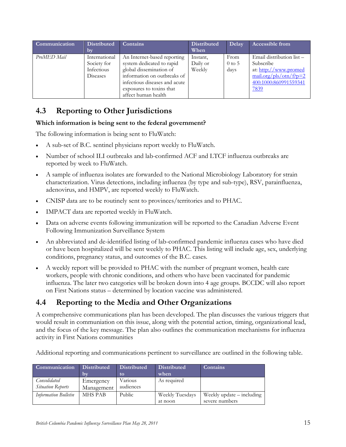| Communication | <b>Distributed</b> | Contains                      | <b>Distributed</b> | Delay    | <b>Accessible from</b>                                 |
|---------------|--------------------|-------------------------------|--------------------|----------|--------------------------------------------------------|
|               | bv                 |                               | When               |          |                                                        |
| ProMED Mail   | International      | An Internet-based reporting   | Instant,           | From     | Email distribution list -                              |
|               | Society for        | system dedicated to rapid     | Daily or           | $0$ to 5 | Subscribe                                              |
|               | Infectious         | global dissemination of       | Weekly             | days     | at: http://www.promed                                  |
|               | <b>Diseases</b>    | information on outbreaks of   |                    |          | $_{\text{mail.org}/\text{pls}/\text{otn}/\text{fp}=2}$ |
|               |                    | infectious diseases and acute |                    |          | 400:1000:860991559341                                  |
|               |                    | exposures to toxins that      |                    |          | 7839                                                   |
|               |                    | affect human health           |                    |          |                                                        |

# <span id="page-14-0"></span>**4.3 Reporting to Other Jurisdictions**

#### **Which information is being sent to the federal government?**

The following information is being sent to FluWatch:

- A sub-set of B.C. sentinel physicians report weekly to FluWatch.
- Number of school ILI outbreaks and lab-confirmed ACF and LTCF influenza outbreaks are reported by week to FluWatch.
- A sample of influenza isolates are forwarded to the National Microbiology Laboratory for strain characterization. Virus detections, including influenza (by type and sub-type), RSV, parainfluenza, adenovirus, and HMPV, are reported weekly to FluWatch.
- CNISP data are to be routinely sent to provinces/territories and to PHAC.
- IMPACT data are reported weekly in FluWatch.
- Data on adverse events following immunization will be reported to the Canadian Adverse Event Following Immunization Surveillance System
- An abbreviated and de-identified listing of lab-confirmed pandemic influenza cases who have died or have been hospitalized will be sent weekly to PHAC. This listing will include age, sex, underlying conditions, pregnancy status, and outcomes of the B.C. cases.
- A weekly report will be provided to PHAC with the number of pregnant women, health care workers, people with chronic conditions, and others who have been vaccinated for pandemic influenza. The later two categories will be broken down into 4 age groups. BCCDC will also report on First Nations status – determined by location vaccine was administered.

### <span id="page-14-1"></span>**4.4 Reporting to the Media and Other Organizations**

A comprehensive communications plan has been developed. The plan discusses the various triggers that would result in communiation on this issue, along with the potential action, timing, organizational lead, and the focus of the key message. The plan also outlines the communication mechanisms for influenza activity in First Nations communities

Additional reporting and communications pertinent to surveillance are outlined in the following table.

| <b>Communication</b>        | <b>Distributed</b> | <b>Distributed</b> | <b>Distributed</b> | Contains                    |
|-----------------------------|--------------------|--------------------|--------------------|-----------------------------|
|                             | 10V                | to                 | when               |                             |
| Consolidated                | Emergency          | Various            | As required        |                             |
| <b>Situation Reports</b>    | Management         | audiences          |                    |                             |
| <b>Information Bulletin</b> | <b>MHS PAB</b>     | Public             | Weekly Tuesdays    | Weekly update $-$ including |
|                             |                    |                    | at noon            | severe numbers              |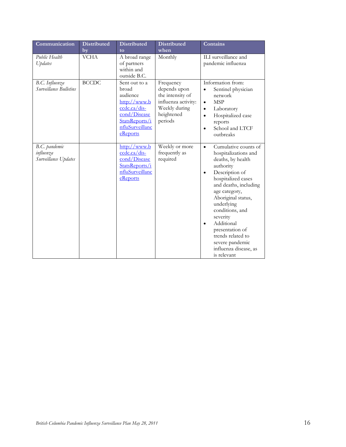| Communication                                      | <b>Distributed</b> | <b>Distributed</b>                                                                                                                  | <b>Distributed</b>                                                                                             | Contains                                                                                                                                                                                                                                                                                                                                                                       |
|----------------------------------------------------|--------------------|-------------------------------------------------------------------------------------------------------------------------------------|----------------------------------------------------------------------------------------------------------------|--------------------------------------------------------------------------------------------------------------------------------------------------------------------------------------------------------------------------------------------------------------------------------------------------------------------------------------------------------------------------------|
| Public Health<br>Updates                           | by<br><b>VCHA</b>  | to<br>A broad range<br>of partners                                                                                                  | when<br>Monthly                                                                                                | ILI surveillance and<br>pandemic influenza                                                                                                                                                                                                                                                                                                                                     |
|                                                    |                    | within and<br>outside B.C.                                                                                                          |                                                                                                                |                                                                                                                                                                                                                                                                                                                                                                                |
| B.C. Influenza<br>Surveillance Bulletins           | <b>BCCDC</b>       | Sent out to a<br>broad<br>audience<br>http://www.b<br>ccdc.ca/dis-<br>cond/Disease<br>StatsReports/i<br>nfluSurveillanc<br>eReports | Frequency<br>depends upon<br>the intensity of<br>influenza activity:<br>Weekly during<br>heightened<br>periods | Information from:<br>Sentinel physician<br>network<br><b>MSP</b><br>$\bullet$<br>Laboratory<br>$\bullet$<br>Hospitalized case<br>$\bullet$<br>reports<br>School and LTCF<br>$\bullet$<br>outbreaks                                                                                                                                                                             |
| B.C. pandemic<br>influenza<br>Surveillance Updates |                    | $\frac{\text{http://www.b}}{\text{http://www.b}}$<br>ccdc.ca/dis-<br>cond/Disease<br>StatsReports/i<br>nfluSurveillanc<br>eReports  | Weekly or more<br>frequently as<br>required                                                                    | Cumulative counts of<br>$\bullet$<br>hospitalizations and<br>deaths, by health<br>authority<br>Description of<br>$\bullet$<br>hospitalized cases<br>and deaths, including<br>age category,<br>Aboriginal status,<br>underlying<br>conditions, and<br>severity<br>Additional<br>presentation of<br>trends related to<br>severe pandemic<br>influenza disease, as<br>is relevant |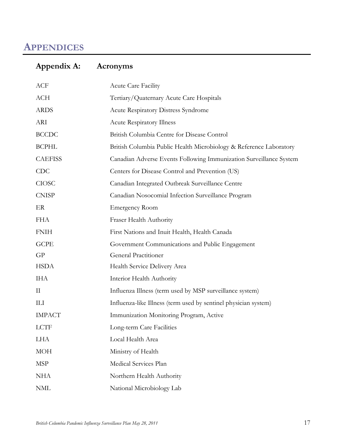# <span id="page-16-0"></span>**APPENDICES**

# <span id="page-16-1"></span>**Appendix A: Acronyms**

| ACF            | Acute Care Facility                                                |
|----------------|--------------------------------------------------------------------|
| <b>ACH</b>     | Tertiary/Quaternary Acute Care Hospitals                           |
| <b>ARDS</b>    | <b>Acute Respiratory Distress Syndrome</b>                         |
| ARI            | <b>Acute Respiratory Illness</b>                                   |
| <b>BCCDC</b>   | British Columbia Centre for Disease Control                        |
| <b>BCPHL</b>   | British Columbia Public Health Microbiology & Reference Laboratory |
| <b>CAEFISS</b> | Canadian Adverse Events Following Immunization Surveillance System |
| <b>CDC</b>     | Centers for Disease Control and Prevention (US)                    |
| <b>CIOSC</b>   | Canadian Integrated Outbreak Surveillance Centre                   |
| <b>CNISP</b>   | Canadian Nosocomial Infection Surveillance Program                 |
| ER             | <b>Emergency Room</b>                                              |
| <b>FHA</b>     | Fraser Health Authority                                            |
| <b>FNIH</b>    | First Nations and Inuit Health, Health Canada                      |
| <b>GCPE</b>    | Government Communications and Public Engagement                    |
| GP             | <b>General Practitioner</b>                                        |
| <b>HSDA</b>    | Health Service Delivery Area                                       |
| <b>IHA</b>     | Interior Health Authority                                          |
| $\rm II$       | Influenza Illness (term used by MSP surveillance system)           |
| Ш              | Influenza-like Illness (term used by sentinel physician system)    |
| <b>IMPACT</b>  | Immunization Monitoring Program, Active                            |
| <b>LCTF</b>    | Long-term Care Facilities                                          |
| LHA            | Local Health Area                                                  |
| <b>MOH</b>     | Ministry of Health                                                 |
| <b>MSP</b>     | Medical Services Plan                                              |
| <b>NHA</b>     | Northern Health Authority                                          |
| $\textup{NML}$ | National Microbiology Lab                                          |
|                |                                                                    |